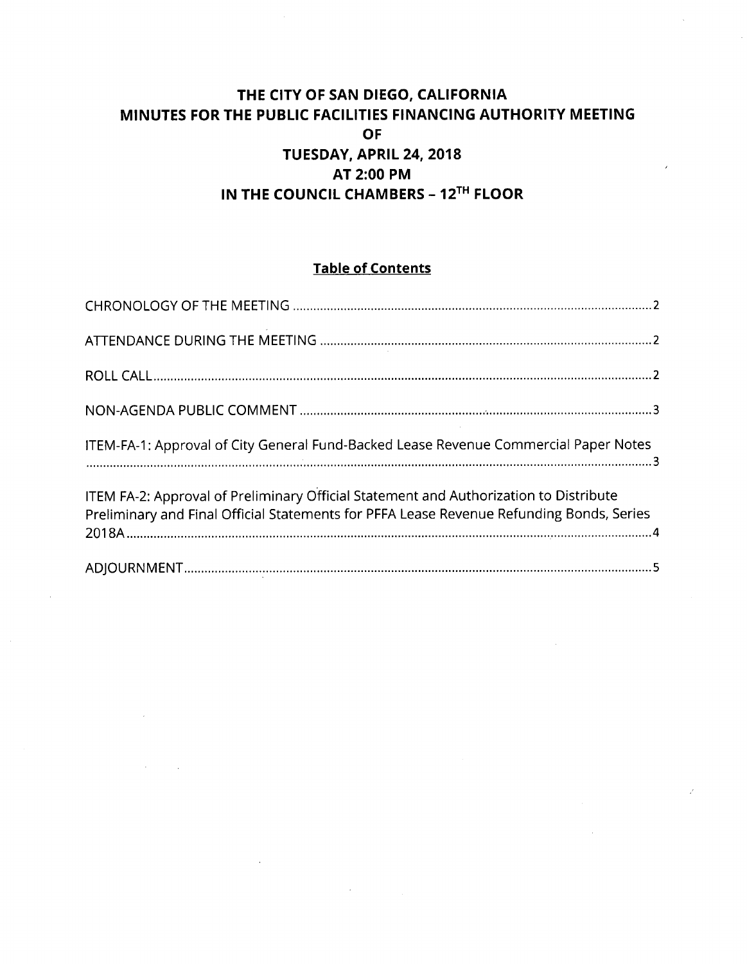# **THE CITY OF SAN DIEGO, CALIFORNIA MINUTES FOR THE PUBLIC FACILITIES FINANCING AUTHORITY MEETING OF TUESDAY. APRIL 24, 2018 AT 2:00 PM IN THE COUNCIL CHAMBERS - 12^^^ FLOOR**

# **Table of Contents**

| ITEM-FA-1: Approval of City General Fund-Backed Lease Revenue Commercial Paper Notes                                                                                              |  |
|-----------------------------------------------------------------------------------------------------------------------------------------------------------------------------------|--|
| ITEM FA-2: Approval of Preliminary Official Statement and Authorization to Distribute<br>Preliminary and Final Official Statements for PFFA Lease Revenue Refunding Bonds, Series |  |
|                                                                                                                                                                                   |  |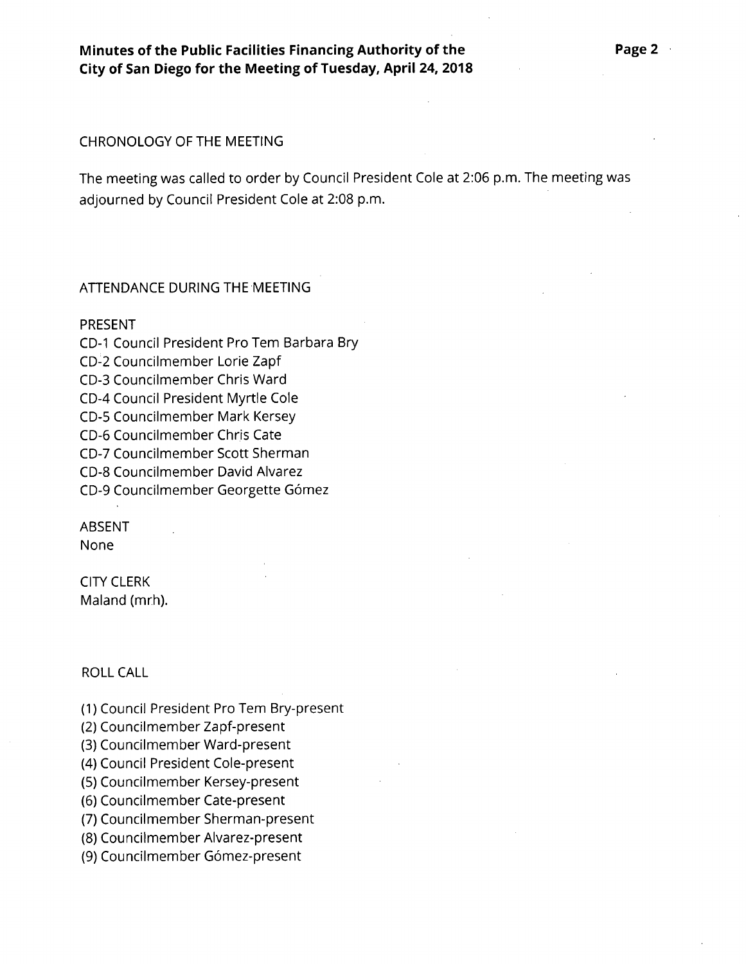## CHRONOLOGY OF THE MEETING

The meeting was called to order by Council President Cole at 2:06 p.m. The meeting was adjourned by Council President Cole at 2:08 p.m.

#### ATTENDANCE DURING THE MEETING

#### PRESENT

CD-I Council President Pro Tern Barbara Bry CD-2 Councilmember Lorie Zapf CD-3 Councilmember Chris Ward CD-4 Council President Myrtle Cole CD-5 Councilmember Mark Kersey CD-6 Councilmember Chris Cate CD-7 Councilmember Scott Sherman CD-8 Councilmember David Alvarez CD-9 Councilmember Georgette Gomez

# ABSENT

None

CITY CLERK Maland (mrh).

#### ROLL CALL

(1) Council President Pro Tem Bry-present

(2) Councilmember Zapf-present

(3) Councilmember Ward-present

(4) Council President Cole-present

(5) Councilmember Kersey-present

(6) Councilmember Cate-present

(7) Councilmember Sherman-present

(8) Councilmember Alvarez-present

(9) Councilmember Gómez-present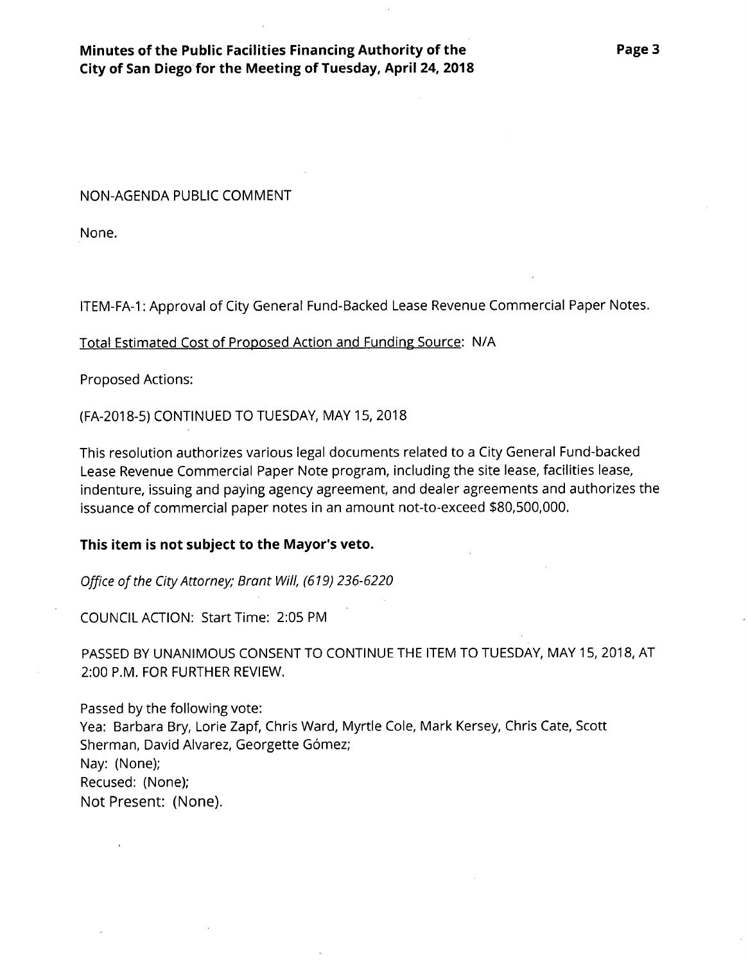**Minutes of the Public Facilities Financing Authority of the City of San Diego for the Meeting of Tuesday, April 24, 2018**

NON-AGENDA PUBLIC COMMENT

None.

ITEM-FA-1: Approval of City General Fund-Backed Lease Revenue Commercial Paper Notes.

Total Estimated Cost of Proposed Action and Funding Source: N/A

Proposed Actions:

(FA-2018-5) CONTINUED TO TUESDAY, MAY 15, 2018

This resolution authorizes various legal documents related to a City General Fund-backed Lease Revenue Commercial Paper Note program, including the site lease, facilities lease, indenture, issuing and paying agency agreement, and dealer agreements and authorizes the issuance of commercial paper notes in an amount not-to-exceed \$80,500,000.

## **This item is not subject to the Mayor's veto.**

Office of the City Attorney; Brant Will, (619) 236-6220

COUNCIL ACTION: Start Time: 2:05 PM

PASSED BY UNANIMOUS CONSENT TO CONTINUE THE ITEM TO TUESDAY, MAY 15, 2018, AT 2:00 P.M. FOR FURTHER REVIEW.

Passed by the following vote: Yea: Barbara Bry, Lorie Zapf, Chris Ward, Myrtle Cole, Mark Kersey, Chris Cate, Scott Sherman, David Alvarez, Georgette Gómez; Nay: (None); Recused: (None); Not Present: (None).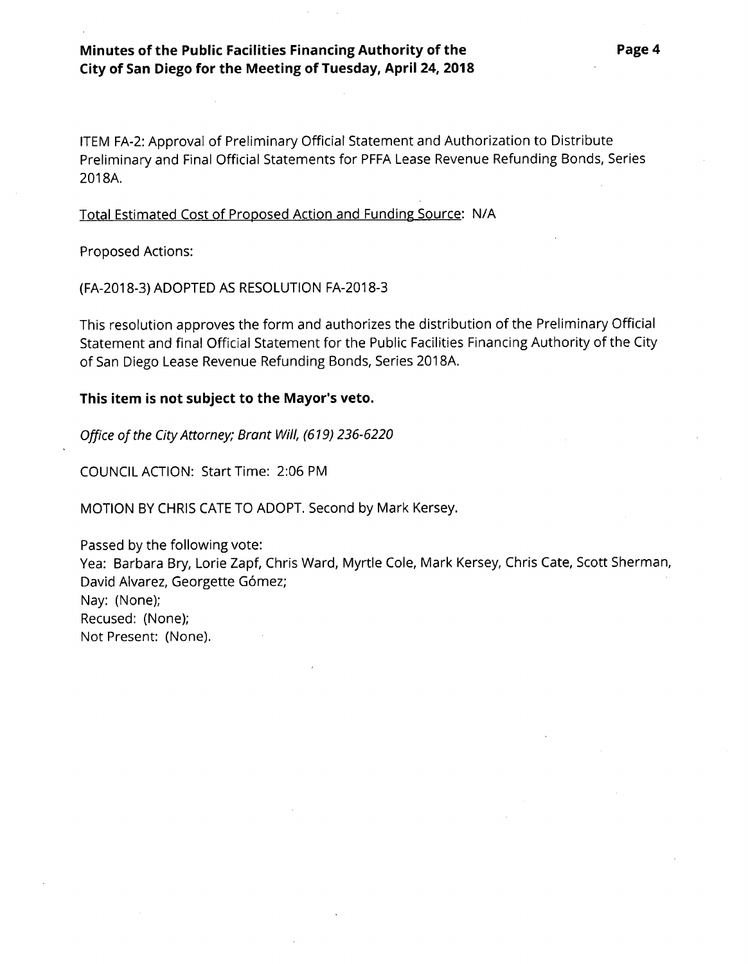# **Minutes of the Public Facilities Financing Authority of the City of San Diego for the Meeting of Tuesday, April 24, 2018**

ITEM FA-2: Approval of Preliminary Official Statement and Authorization to Distribute Preliminary and Final Official Statements for PFFA Lease Revenue Refunding Bonds, Series 2018A.

## Total Estimated Cost of Proposed Action and Funding Source: N/A

Proposed Actions:

(FA-2018-3) ADOPTED AS RESOLUTION FA-2018-3

This resolution approves the form and authorizes the distribution of the Preliminary Official Statement and final Official Statement for the Public Facilities Financing Authority of the City of San Diego Lease Revenue Refunding Bonds, Series 2018A.

#### **This item is not subject to the Mayor's veto.**

*Office of the CityAttorney; Brant Will, (619) 236-6220*

COUNCIL ACTION: Start Time: 2:06 PM

MOTION BY CHRIS CATE TO ADOPT. Second by Mark Kersey.

Passed by the following vote: Yea: Barbara Bry, Lorie Zapf, Chris Ward, Myrtle Cole, Mark Kersey, Chris Cate, Scott Sherman, David Alvarez, Georgette Gómez; Nay: (None); Recused: (None); Not Present: (None).